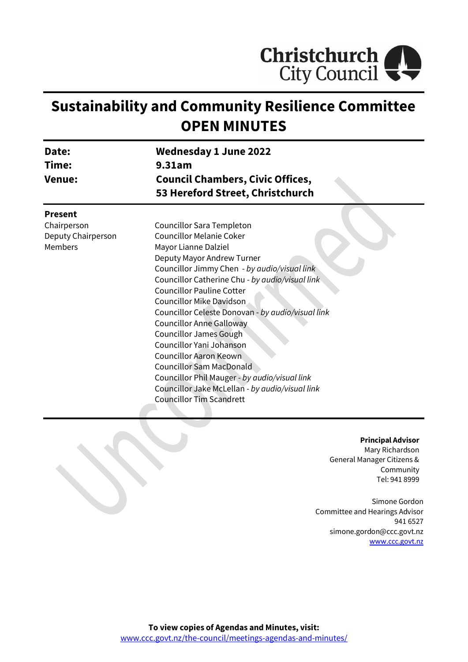

# **Sustainability and Community Resilience Committee OPEN MINUTES**

| Date:<br>Time:<br><b>Venue:</b> | <b>Wednesday 1 June 2022</b><br>9.31am<br><b>Council Chambers, Civic Offices,</b> |                           |                                  |  |
|---------------------------------|-----------------------------------------------------------------------------------|---------------------------|----------------------------------|--|
|                                 |                                                                                   |                           | 53 Hereford Street, Christchurch |  |
|                                 |                                                                                   |                           | <b>Present</b>                   |  |
|                                 | Chairperson                                                                       | Councillor Sara Templeton |                                  |  |
| Deputy Chairperson              | <b>Councillor Melanie Coker</b>                                                   |                           |                                  |  |
| Members                         | Mayor Lianne Dalziel                                                              |                           |                                  |  |
|                                 | Deputy Mayor Andrew Turner                                                        |                           |                                  |  |
|                                 | Councillor Jimmy Chen - by audio/visual link                                      |                           |                                  |  |
|                                 | Councillor Catherine Chu - by audio/visual link                                   |                           |                                  |  |
|                                 | <b>Councillor Pauline Cotter</b>                                                  |                           |                                  |  |
|                                 | Councillor Mike Davidson                                                          |                           |                                  |  |
|                                 | Councillor Celeste Donovan - by audio/visual link                                 |                           |                                  |  |
|                                 | <b>Councillor Anne Galloway</b>                                                   |                           |                                  |  |
|                                 | <b>Councillor James Gough</b>                                                     |                           |                                  |  |
|                                 | Councillor Yani Johanson                                                          |                           |                                  |  |
|                                 | <b>Councillor Aaron Keown</b>                                                     |                           |                                  |  |
|                                 | <b>Councillor Sam MacDonald</b>                                                   |                           |                                  |  |
|                                 | Councillor Phil Mauger - by audio/visual link                                     |                           |                                  |  |
|                                 | Councillor Jake McLellan - by audio/visual link                                   |                           |                                  |  |
|                                 | <b>Councillor Tim Scandrett</b>                                                   |                           |                                  |  |
|                                 |                                                                                   |                           |                                  |  |

**Principal Advisor** Mary Richardson General Manager Citizens & Community Tel: 941 8999

Simone Gordon Committee and Hearings Advisor 941 6527 simone.gordon@ccc.govt.nz [www.ccc.govt.nz](http://www.ccc.govt.nz/)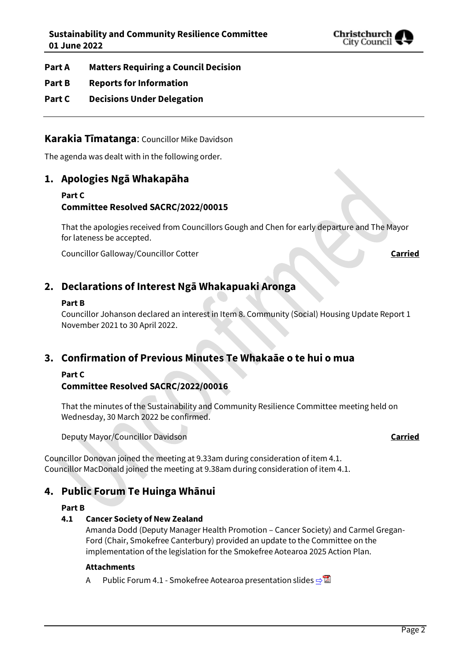

- **Part A Matters Requiring a Council Decision**
- **Part B Reports for Information**
- **Part C Decisions Under Delegation**

# **Karakia Tīmatanga**: Councillor Mike Davidson

The agenda was dealt with in the following order.

# **1. Apologies Ngā Whakapāha**

#### **Part C Committee Resolved SACRC/2022/00015**

That the apologies received from Councillors Gough and Chen for early departure and The Mayor for lateness be accepted.

Councillor Galloway/Councillor Cotter **Carried**

# **2. Declarations of Interest Ngā Whakapuaki Aronga**

#### **Part B**

Councillor Johanson declared an interest in Item 8. Community (Social) Housing Update Report 1 November 2021 to 30 April 2022.

# **3. Confirmation of Previous Minutes Te Whakaāe o te hui o mua**

# **Part C**

# **Committee Resolved SACRC/2022/00016**

That the minutes of the Sustainability and Community Resilience Committee meeting held on Wednesday, 30 March 2022 be confirmed.

Deputy Mayor/Councillor Davidson **Carried**

Councillor Donovan joined the meeting at 9.33am during consideration of item 4.1. Councillor MacDonald joined the meeting at 9.38am during consideration of item 4.1.

# **4. Public Forum Te Huinga Whānui**

### **Part B**

#### **4.1 Cancer Society of New Zealand**

Amanda Dodd (Deputy Manager Health Promotion – Cancer Society) and Carmel Gregan-Ford (Chair, Smokefree Canterbury) provided an update to the Committee on the implementation of the legislation for the Smokefree Aotearoa 2025 Action Plan.

#### **Attachments**

A Public Forum 4.1 - Smokefree Aotearoa presentation slides  $\Rightarrow \blacksquare$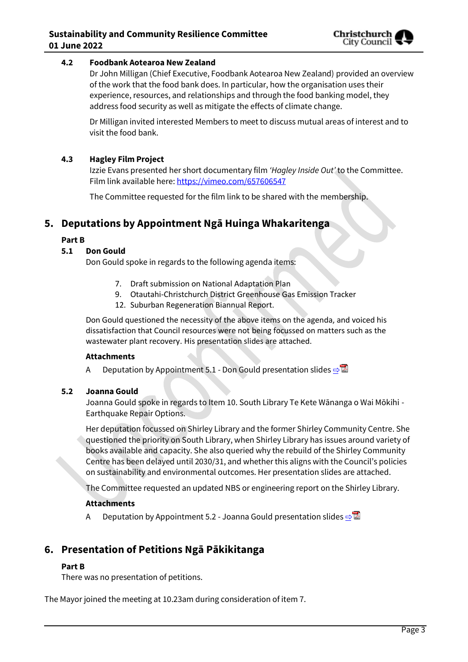

#### **4.2 Foodbank Aotearoa New Zealand**

Dr John Milligan (Chief Executive, Foodbank Aotearoa New Zealand) provided an overview of the work that the food bank does. In particular, how the organisation uses their experience, resources, and relationships and through the food banking model, they address food security as well as mitigate the effects of climate change.

Dr Milligan invited interested Members to meet to discuss mutual areas of interest and to visit the food bank.

#### **4.3 Hagley Film Project**

Izzie Evans presented her short documentary film *'Hagley Inside Out'* to the Committee. Film link available here:<https://vimeo.com/657606547>

The Committee requested for the film link to be shared with the membership.

# **5. Deputations by Appointment Ngā Huinga Whakaritenga**

#### **Part B**

#### **5.1 Don Gould**

Don Gould spoke in regards to the following agenda items:

- 7. Draft submission on National Adaptation Plan
- 9. Otautahi-Christchurch District Greenhouse Gas Emission Tracker
- 12. Suburban Regeneration Biannual Report.

Don Gould questioned the necessity of the above items on the agenda, and voiced his dissatisfaction that Council resources were not being focussed on matters such as the wastewater plant recovery. His presentation slides are attached.

#### **Attachments**

A Deputation by Appointment 5.1 - Don Gould presentation slides  $\Rightarrow$ 

#### **5.2 Joanna Gould**

Joanna Gould spoke in regards to Item 10. South Library Te Kete Wānanga o Wai Mōkihi - Earthquake Repair Options.

Her deputation focussed on Shirley Library and the former Shirley Community Centre. She questioned the priority on South Library, when Shirley Library has issues around variety of books available and capacity. She also queried why the rebuild of the Shirley Community Centre has been delayed until 2030/31, and whether this aligns with the Council's policies on sustainability and environmental outcomes. Her presentation slides are attached.

The Committee requested an updated NBS or engineering report on the Shirley Library.

#### **Attachments**

A Deputation by Appointment 5.2 - Joanna Gould presentation slides **[⇨](../../../RedirectToInvalidFileName.aspx?FileName=SACRC_20220601_MAT_7539.PDF#PAGE=17)</u>** 

# **6. Presentation of Petitions Ngā Pākikitanga**

#### **Part B**

There was no presentation of petitions.

The Mayor joined the meeting at 10.23am during consideration of item 7.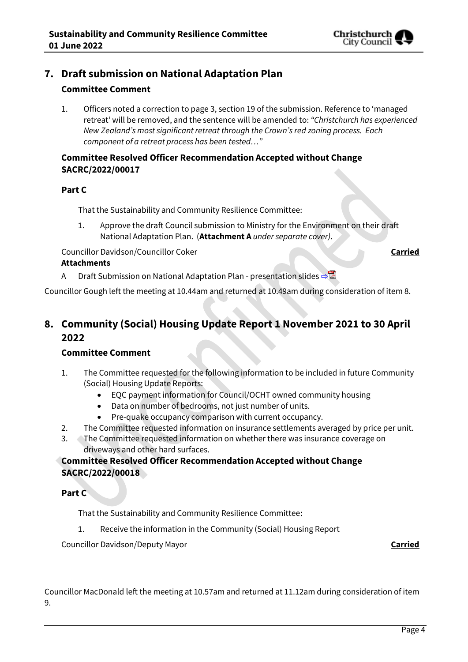

# **7. Draft submission on National Adaptation Plan**

### **Committee Comment**

1. Officers noted a correction to page 3, section 19 of the submission. Reference to 'managed retreat' will be removed, and the sentence will be amended to: *"Christchurch has experienced New Zealand's most significant retreat through the Crown's red zoning process. Each component of a retreat process has been tested…"*

#### **Committee Resolved Officer Recommendation Accepted without Change SACRC/2022/00017**

#### **Part C**

That the Sustainability and Community Resilience Committee:

1. Approve the draft Council submission to Ministry for the Environment on their draft National Adaptation Plan. (**Attachment A** *under separate cover)*.

**Councillor Davidson/Councillor Coker <b>Carried** Councillor Coker **Carried** 

#### **Attachments**

A Draft Submission on National Adaptation Plan - presentation slides

Councillor Gough left the meeting at 10.44am and returned at 10.49am during consideration of item 8.

# **8. Community (Social) Housing Update Report 1 November 2021 to 30 April 2022**

#### **Committee Comment**

- 1. The Committee requested for the following information to be included in future Community (Social) Housing Update Reports:
	- EQC payment information for Council/OCHT owned community housing
	- Data on number of bedrooms, not just number of units.
	- Pre-quake occupancy comparison with current occupancy.
- 2. The Committee requested information on insurance settlements averaged by price per unit.
- 3. The Committee requested information on whether there was insurance coverage on driveways and other hard surfaces.

# **Committee Resolved Officer Recommendation Accepted without Change SACRC/2022/00018**

#### **Part C**

That the Sustainability and Community Resilience Committee:

1. Receive the information in the Community (Social) Housing Report

Councillor Davidson/Deputy Mayor **Carried**

Councillor MacDonald left the meeting at 10.57am and returned at 11.12am during consideration of item 9.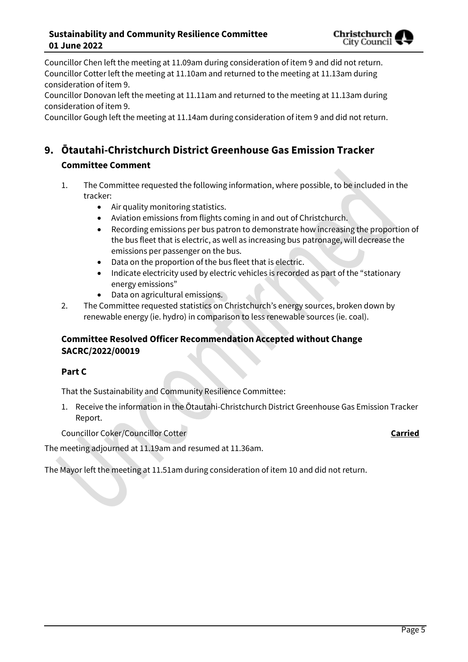

Councillor Chen left the meeting at 11.09am during consideration of item 9 and did not return. Councillor Cotter left the meeting at 11.10am and returned to the meeting at 11.13am during consideration of item 9.

Councillor Donovan left the meeting at 11.11am and returned to the meeting at 11.13am during consideration of item 9.

Councillor Gough left the meeting at 11.14am during consideration of item 9 and did not return.

# **9. Ōtautahi-Christchurch District Greenhouse Gas Emission Tracker Committee Comment**

- 1. The Committee requested the following information, where possible, to be included in the tracker:
	- Air quality monitoring statistics.
	- Aviation emissions from flights coming in and out of Christchurch.
	- Recording emissions per bus patron to demonstrate how increasing the proportion of the bus fleet that is electric, as well as increasing bus patronage, will decrease the emissions per passenger on the bus.
	- Data on the proportion of the bus fleet that is electric.
	- Indicate electricity used by electric vehicles is recorded as part of the "stationary energy emissions"
	- Data on agricultural emissions.
- 2. The Committee requested statistics on Christchurch's energy sources, broken down by renewable energy (ie. hydro) in comparison to less renewable sources (ie. coal).

# **Committee Resolved Officer Recommendation Accepted without Change SACRC/2022/00019**

### **Part C**

That the Sustainability and Community Resilience Committee:

1. Receive the information in the Ōtautahi-Christchurch District Greenhouse Gas Emission Tracker Report.

Councillor Coker/Councillor Cotter **Carried**

The meeting adjourned at 11.19am and resumed at 11.36am.

The Mayor left the meeting at 11.51am during consideration of item 10 and did not return.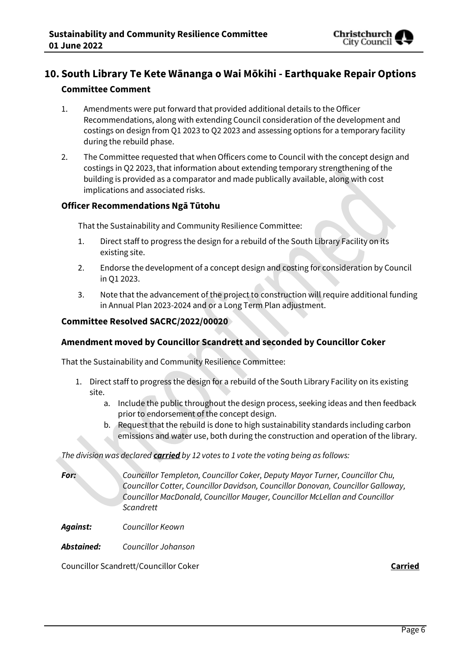

# **10. South Library Te Kete Wānanga o Wai Mōkihi - Earthquake Repair Options Committee Comment**

- 1. Amendments were put forward that provided additional details to the Officer Recommendations, along with extending Council consideration of the development and costings on design from Q1 2023 to Q2 2023 and assessing options for a temporary facility during the rebuild phase.
- 2. The Committee requested that when Officers come to Council with the concept design and costings in Q2 2023, that information about extending temporary strengthening of the building is provided as a comparator and made publically available, along with cost implications and associated risks.

### **Officer Recommendations Ngā Tūtohu**

That the Sustainability and Community Resilience Committee:

- 1. Direct staff to progress the design for a rebuild of the South Library Facility on its existing site.
- 2. Endorse the development of a concept design and costing for consideration by Council in Q1 2023.
- 3. Note that the advancement of the project to construction will require additional funding in Annual Plan 2023-2024 and or a Long Term Plan adjustment.

#### **Committee Resolved SACRC/2022/00020**

#### **Amendment moved by Councillor Scandrett and seconded by Councillor Coker**

That the Sustainability and Community Resilience Committee:

- 1. Direct staff to progress the design for a rebuild of the South Library Facility on its existing site.
	- a. Include the public throughout the design process, seeking ideas and then feedback prior to endorsement of the concept design.
	- b. Request that the rebuild is done to high sustainability standards including carbon emissions and water use, both during the construction and operation of the library.

*The division was declared carried by 12 votes to 1 vote the voting being as follows:*

*For: Councillor Templeton, Councillor Coker, Deputy Mayor Turner, Councillor Chu, Councillor Cotter, Councillor Davidson, Councillor Donovan, Councillor Galloway, Councillor MacDonald, Councillor Mauger, Councillor McLellan and Councillor Scandrett*

*Against: Councillor Keown*

*Abstained: Councillor Johanson*

Councillor Scandrett/Councillor Coker **Carried**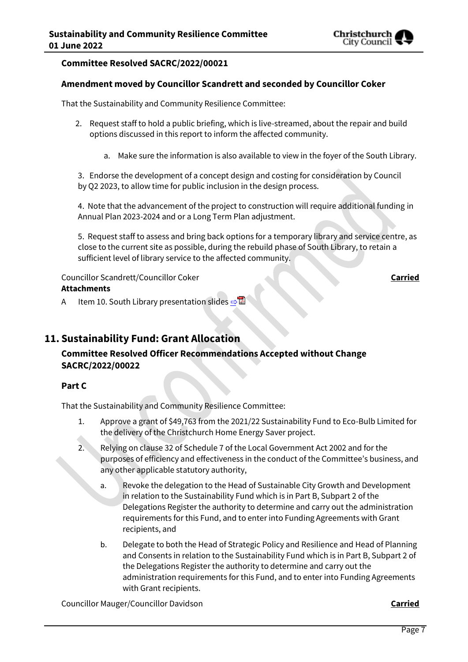

#### **Committee Resolved SACRC/2022/00021**

#### **Amendment moved by Councillor Scandrett and seconded by Councillor Coker**

That the Sustainability and Community Resilience Committee:

- 2. Request staff to hold a public briefing, which is live-streamed, about the repair and build options discussed in this report to inform the affected community.
	- a. Make sure the information is also available to view in the foyer of the South Library.

3. Endorse the development of a concept design and costing for consideration by Council by Q2 2023, to allow time for public inclusion in the design process.

4. Note that the advancement of the project to construction will require additional funding in Annual Plan 2023-2024 and or a Long Term Plan adjustment.

5. Request staff to assess and bring back options for a temporary library and service centre, as close to the current site as possible, during the rebuild phase of South Library, to retain a sufficient level of library service to the affected community.

#### Councillor Scandrett/Councillor Coker **Carried Attachments**

A Item 10. South Library presentation slides **[⇨](../../../RedirectToInvalidFileName.aspx?FileName=SACRC_20220601_MAT_7539.PDF#PAGE=39)</u>** 

# **11. Sustainability Fund: Grant Allocation**

# **Committee Resolved Officer Recommendations Accepted without Change SACRC/2022/00022**

#### **Part C**

That the Sustainability and Community Resilience Committee:

- 1. Approve a grant of \$49,763 from the 2021/22 Sustainability Fund to Eco-Bulb Limited for the delivery of the Christchurch Home Energy Saver project.
- 2. Relying on clause 32 of Schedule 7 of the Local Government Act 2002 and for the purposes of efficiency and effectiveness in the conduct of the Committee's business, and any other applicable statutory authority,
	- a. Revoke the delegation to the Head of Sustainable City Growth and Development in relation to the Sustainability Fund which is in Part B, Subpart 2 of the Delegations Register the authority to determine and carry out the administration requirements for this Fund, and to enter into Funding Agreements with Grant recipients, and
	- b. Delegate to both the Head of Strategic Policy and Resilience and Head of Planning and Consents in relation to the Sustainability Fund which is in Part B, Subpart 2 of the Delegations Register the authority to determine and carry out the administration requirements for this Fund, and to enter into Funding Agreements with Grant recipients.

Councillor Mauger/Councillor Davidson **Carried**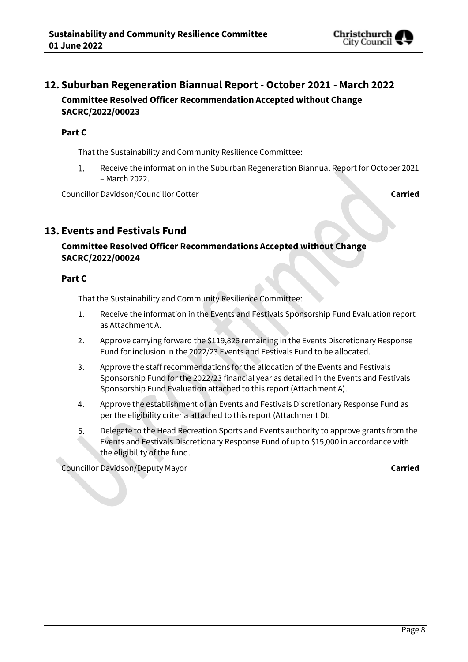

# **12. Suburban Regeneration Biannual Report - October 2021 - March 2022 Committee Resolved Officer Recommendation Accepted without Change SACRC/2022/00023**

#### **Part C**

That the Sustainability and Community Resilience Committee:

 $1.$ Receive the information in the Suburban Regeneration Biannual Report for October 2021 – March 2022.

Councillor Davidson/Councillor Cotter **Carried**

# **13. Events and Festivals Fund**

# **Committee Resolved Officer Recommendations Accepted without Change SACRC/2022/00024**

#### **Part C**

That the Sustainability and Community Resilience Committee:

- 1. Receive the information in the Events and Festivals Sponsorship Fund Evaluation report as Attachment A.
- 2. Approve carrying forward the \$119,826 remaining in the Events Discretionary Response Fund for inclusion in the 2022/23 Events and Festivals Fund to be allocated.
- 3. Approve the staff recommendations for the allocation of the Events and Festivals Sponsorship Fund for the 2022/23 financial year as detailed in the Events and Festivals Sponsorship Fund Evaluation attached to this report (Attachment A).
- 4. Approve the establishment of an Events and Festivals Discretionary Response Fund as per the eligibility criteria attached to this report (Attachment D).
- 5. Delegate to the Head Recreation Sports and Events authority to approve grants from the Events and Festivals Discretionary Response Fund of up to \$15,000 in accordance with the eligibility of the fund.

Councillor Davidson/Deputy Mayor **Carried**